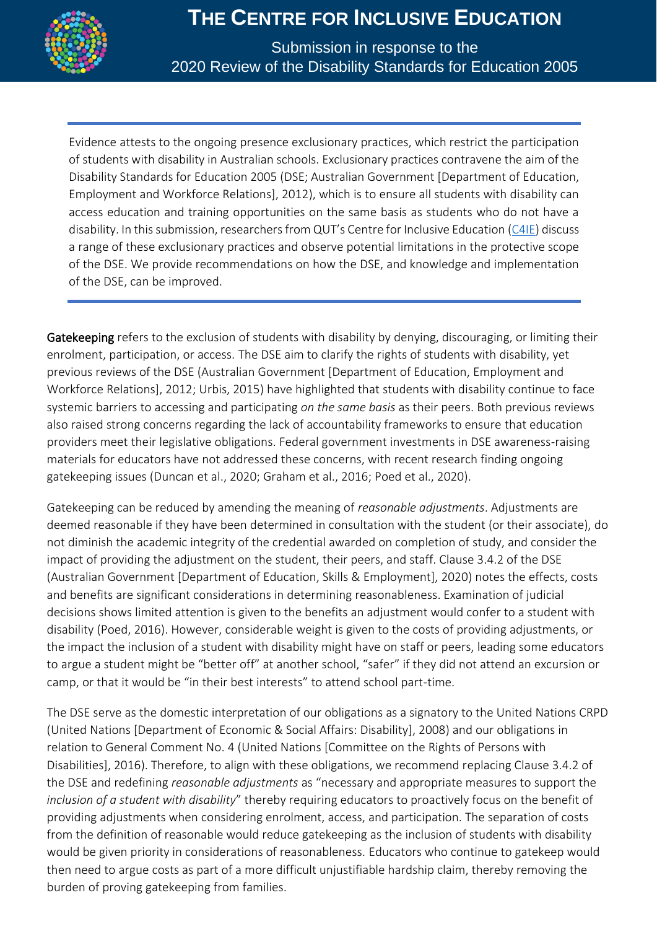

Submission in response to the 2020 Review of the Disability Standards for Education 2005

Evidence attests to the ongoing presence exclusionary practices, which restrict the participation of students with disability in Australian schools. Exclusionary practices contravene the aim of the Disability Standards for Education 2005 (DSE; Australian Government [Department of Education, Employment and Workforce Relations], 2012), which is to ensure all students with disability can access education and training opportunities on the same basis as students who do not have a disability. In this submission, researchers from QUT's Centre for Inclusive Education [\(C4IE\)](https://research.qut.edu.au/c4ie/) discuss a range of these exclusionary practices and observe potential limitations in the protective scope of the DSE. We provide recommendations on how the DSE, and knowledge and implementation of the DSE, can be improved.

Gatekeeping refers to the exclusion of students with disability by denying, discouraging, or limiting their enrolment, participation, or access. The DSE aim to clarify the rights of students with disability, yet previous reviews of the DSE (Australian Government [Department of Education, Employment and Workforce Relations], 2012; Urbis, 2015) have highlighted that students with disability continue to face systemic barriers to accessing and participating *on the same basis* as their peers. Both previous reviews also raised strong concerns regarding the lack of accountability frameworks to ensure that education providers meet their legislative obligations. Federal government investments in DSE awareness-raising materials for educators have not addressed these concerns, with recent research finding ongoing gatekeeping issues (Duncan et al., 2020; Graham et al., 2016; Poed et al., 2020).

Gatekeeping can be reduced by amending the meaning of *reasonable adjustments*. Adjustments are deemed reasonable if they have been determined in consultation with the student (or their associate), do not diminish the academic integrity of the credential awarded on completion of study, and consider the impact of providing the adjustment on the student, their peers, and staff. Clause 3.4.2 of the DSE (Australian Government [Department of Education, Skills & Employment], 2020) notes the effects, costs and benefits are significant considerations in determining reasonableness. Examination of judicial decisions shows limited attention is given to the benefits an adjustment would confer to a student with disability (Poed, 2016). However, considerable weight is given to the costs of providing adjustments, or the impact the inclusion of a student with disability might have on staff or peers, leading some educators to argue a student might be "better off" at another school, "safer" if they did not attend an excursion or camp, or that it would be "in their best interests" to attend school part-time.

The DSE serve as the domestic interpretation of our obligations as a signatory to the United Nations CRPD (United Nations [Department of Economic & Social Affairs: Disability], 2008) and our obligations in relation to General Comment No. 4 (United Nations [Committee on the Rights of Persons with Disabilities], 2016). Therefore, to align with these obligations, we recommend replacing Clause 3.4.2 of the DSE and redefining *reasonable adjustments* as "necessary and appropriate measures to support the *inclusion of a student with disability*" thereby requiring educators to proactively focus on the benefit of providing adjustments when considering enrolment, access, and participation. The separation of costs from the definition of reasonable would reduce gatekeeping as the inclusion of students with disability would be given priority in considerations of reasonableness. Educators who continue to gatekeep would then need to argue costs as part of a more difficult unjustifiable hardship claim, thereby removing the burden of proving gatekeeping from families.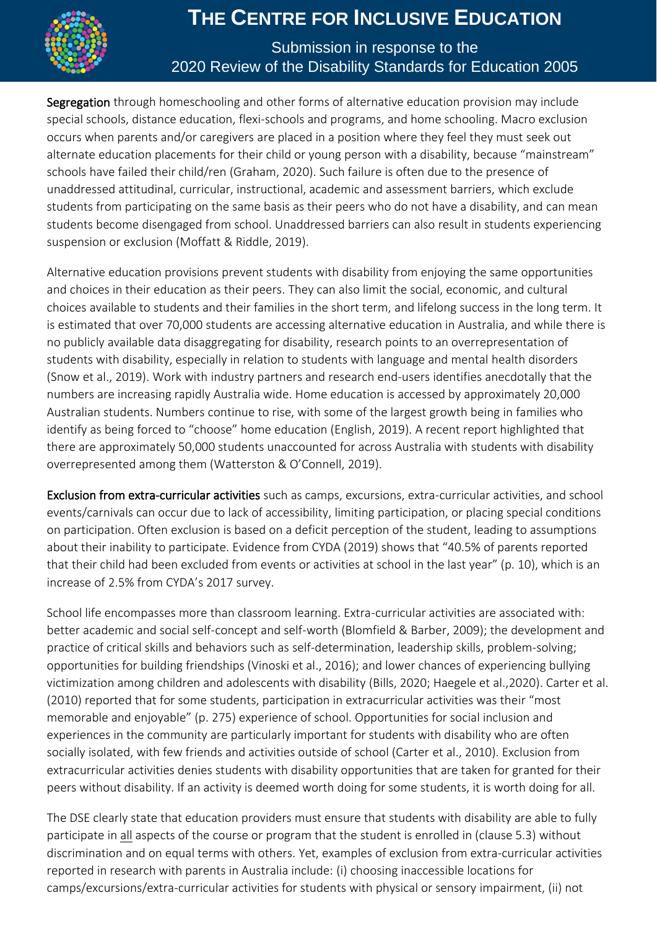

#### Submission in response to the 2020 Review of the Disability Standards for Education 2005

Segregation through homeschooling and other forms of alternative education provision may include special schools, distance education, flexi-schools and programs, and home schooling. Macro exclusion occurs when parents and/or caregivers are placed in a position where they feel they must seek out alternate education placements for their child or young person with a disability, because "mainstream" schools have failed their child/ren (Graham, 2020). Such failure is often due to the presence of unaddressed attitudinal, curricular, instructional, academic and assessment barriers, which exclude students from participating on the same basis as their peers who do not have a disability, and can mean students become disengaged from school. Unaddressed barriers can also result in students experiencing suspension or exclusion (Moffatt & Riddle, 2019).

Alternative education provisions prevent students with disability from enjoying the same opportunities and choices in their education as their peers. They can also limit the social, economic, and cultural choices available to students and their families in the short term, and lifelong success in the long term. It is estimated that over 70,000 students are accessing alternative education in Australia, and while there is no publicly available data disaggregating for disability, research points to an overrepresentation of students with disability, especially in relation to students with language and mental health disorders (Snow et al., 2019). Work with industry partners and research end-users identifies anecdotally that the numbers are increasing rapidly Australia wide. Home education is accessed by approximately 20,000 Australian students. Numbers continue to rise, with some of the largest growth being in families who identify as being forced to "choose" home education (English, 2019). A recent report highlighted that there are approximately 50,000 students unaccounted for across Australia with students with disability overrepresented among them (Watterston & O'Connell, 2019).

Exclusion from extra-curricular activities such as camps, excursions, extra-curricular activities, and school events/carnivals can occur due to lack of accessibility, limiting participation, or placing special conditions on participation. Often exclusion is based on a deficit perception of the student, leading to assumptions about their inability to participate. Evidence from CYDA (2019) shows that "40.5% of parents reported that their child had been excluded from events or activities at school in the last year" (p. 10), which is an increase of 2.5% from CYDA's 2017 survey.

School life encompasses more than classroom learning. Extra-curricular activities are associated with: better academic and social self-concept and self-worth (Blomfield & Barber, 2009); the development and practice of critical skills and behaviors such as self-determination, leadership skills, problem-solving; opportunities for building friendships (Vinoski et al., 2016); and lower chances of experiencing bullying victimization among children and adolescents with disability (Bills, 2020; Haegele et al.,2020). Carter et al. (2010) reported that for some students, participation in extracurricular activities was their "most memorable and enjoyable" (p. 275) experience of school. Opportunities for social inclusion and experiences in the community are particularly important for students with disability who are often socially isolated, with few friends and activities outside of school (Carter et al., 2010). Exclusion from extracurricular activities denies students with disability opportunities that are taken for granted for their peers without disability. If an activity is deemed worth doing for some students, it is worth doing for all.

The DSE clearly state that education providers must ensure that students with disability are able to fully participate in all aspects of the course or program that the student is enrolled in (clause 5.3) without discrimination and on equal terms with others. Yet, examples of exclusion from extra-curricular activities reported in research with parents in Australia include: (i) choosing inaccessible locations for camps/excursions/extra-curricular activities for students with physical or sensory impairment, (ii) not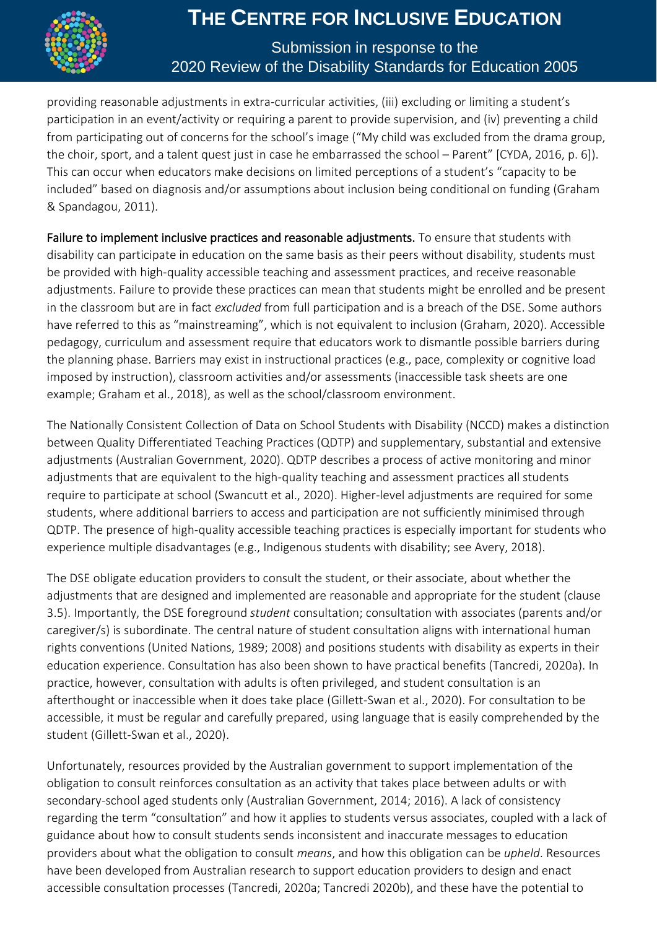

#### Submission in response to the 2020 Review of the Disability Standards for Education 2005

providing reasonable adjustments in extra-curricular activities, (iii) excluding or limiting a student's participation in an event/activity or requiring a parent to provide supervision, and (iv) preventing a child from participating out of concerns for the school's image ("My child was excluded from the drama group, the choir, sport, and a talent quest just in case he embarrassed the school – Parent" [CYDA, 2016, p. 6]). This can occur when educators make decisions on limited perceptions of a student's "capacity to be included" based on diagnosis and/or assumptions about inclusion being conditional on funding (Graham & Spandagou, 2011).

Failure to implement inclusive practices and reasonable adjustments. To ensure that students with disability can participate in education on the same basis as their peers without disability, students must be provided with high-quality accessible teaching and assessment practices, and receive reasonable adjustments. Failure to provide these practices can mean that students might be enrolled and be present in the classroom but are in fact *excluded* from full participation and is a breach of the DSE. Some authors have referred to this as "mainstreaming", which is not equivalent to inclusion (Graham, 2020). Accessible pedagogy, curriculum and assessment require that educators work to dismantle possible barriers during the planning phase. Barriers may exist in instructional practices (e.g., pace, complexity or cognitive load imposed by instruction), classroom activities and/or assessments (inaccessible task sheets are one example; Graham et al., 2018), as well as the school/classroom environment.

The Nationally Consistent Collection of Data on School Students with Disability (NCCD) makes a distinction between Quality Differentiated Teaching Practices (QDTP) and supplementary, substantial and extensive adjustments (Australian Government, 2020). QDTP describes a process of active monitoring and minor adjustments that are equivalent to the high-quality teaching and assessment practices all students require to participate at school (Swancutt et al., 2020). Higher-level adjustments are required for some students, where additional barriers to access and participation are not sufficiently minimised through QDTP. The presence of high-quality accessible teaching practices is especially important for students who experience multiple disadvantages (e.g., Indigenous students with disability; see Avery, 2018).

The DSE obligate education providers to consult the student, or their associate, about whether the adjustments that are designed and implemented are reasonable and appropriate for the student (clause 3.5). Importantly, the DSE foreground *student* consultation; consultation with associates (parents and/or caregiver/s) is subordinate. The central nature of student consultation aligns with international human rights conventions (United Nations, 1989; 2008) and positions students with disability as experts in their education experience. Consultation has also been shown to have practical benefits (Tancredi, 2020a). In practice, however, consultation with adults is often privileged, and student consultation is an afterthought or inaccessible when it does take place (Gillett-Swan et al., 2020). For consultation to be accessible, it must be regular and carefully prepared, using language that is easily comprehended by the student (Gillett-Swan et al., 2020).

Unfortunately, resources provided by the Australian government to support implementation of the obligation to consult reinforces consultation as an activity that takes place between adults or with secondary-school aged students only (Australian Government, 2014; 2016). A lack of consistency regarding the term "consultation" and how it applies to students versus associates, coupled with a lack of guidance about how to consult students sends inconsistent and inaccurate messages to education providers about what the obligation to consult *means*, and how this obligation can be *upheld*. Resources have been developed from Australian research to support education providers to design and enact accessible consultation processes (Tancredi, 2020a; Tancredi 2020b), and these have the potential to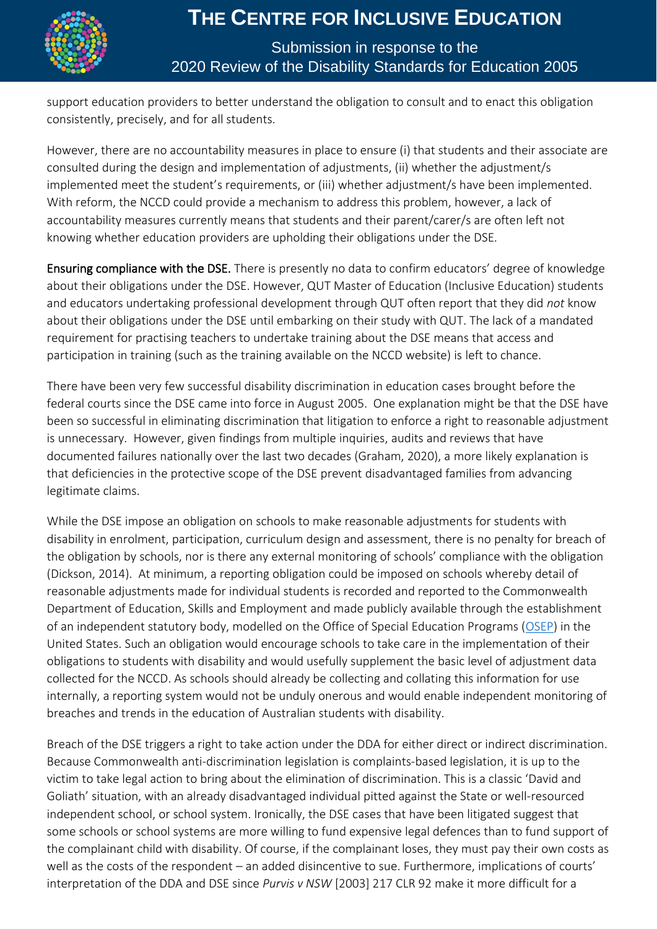

#### Submission in response to the 2020 Review of the Disability Standards for Education 2005

support education providers to better understand the obligation to consult and to enact this obligation consistently, precisely, and for all students.

However, there are no accountability measures in place to ensure (i) that students and their associate are consulted during the design and implementation of adjustments, (ii) whether the adjustment/s implemented meet the student's requirements, or (iii) whether adjustment/s have been implemented. With reform, the NCCD could provide a mechanism to address this problem, however, a lack of accountability measures currently means that students and their parent/carer/s are often left not knowing whether education providers are upholding their obligations under the DSE.

Ensuring compliance with the DSE. There is presently no data to confirm educators' degree of knowledge about their obligations under the DSE. However, QUT Master of Education (Inclusive Education) students and educators undertaking professional development through QUT often report that they did *not* know about their obligations under the DSE until embarking on their study with QUT. The lack of a mandated requirement for practising teachers to undertake training about the DSE means that access and participation in training (such as the training available on the NCCD website) is left to chance.

There have been very few successful disability discrimination in education cases brought before the federal courts since the DSE came into force in August 2005. One explanation might be that the DSE have been so successful in eliminating discrimination that litigation to enforce a right to reasonable adjustment is unnecessary. However, given findings from multiple inquiries, audits and reviews that have documented failures nationally over the last two decades (Graham, 2020), a more likely explanation is that deficiencies in the protective scope of the DSE prevent disadvantaged families from advancing legitimate claims.

While the DSE impose an obligation on schools to make reasonable adjustments for students with disability in enrolment, participation, curriculum design and assessment, there is no penalty for breach of the obligation by schools, nor is there any external monitoring of schools' compliance with the obligation (Dickson, 2014). At minimum, a reporting obligation could be imposed on schools whereby detail of reasonable adjustments made for individual students is recorded and reported to the Commonwealth Department of Education, Skills and Employment and made publicly available through the establishment of an independent statutory body, modelled on the Office of Special Education Programs [\(OSEP\)](https://www2.ed.gov/rschstat/landing.jhtml?src=pn) in the United States. Such an obligation would encourage schools to take care in the implementation of their obligations to students with disability and would usefully supplement the basic level of adjustment data collected for the NCCD. As schools should already be collecting and collating this information for use internally, a reporting system would not be unduly onerous and would enable independent monitoring of breaches and trends in the education of Australian students with disability.

Breach of the DSE triggers a right to take action under the DDA for either direct or indirect discrimination. Because Commonwealth anti-discrimination legislation is complaints-based legislation, it is up to the victim to take legal action to bring about the elimination of discrimination. This is a classic 'David and Goliath' situation, with an already disadvantaged individual pitted against the State or well-resourced independent school, or school system. Ironically, the DSE cases that have been litigated suggest that some schools or school systems are more willing to fund expensive legal defences than to fund support of the complainant child with disability. Of course, if the complainant loses, they must pay their own costs as well as the costs of the respondent – an added disincentive to sue. Furthermore, implications of courts' interpretation of the DDA and DSE since *Purvis v NSW* [2003] 217 CLR 92 make it more difficult for a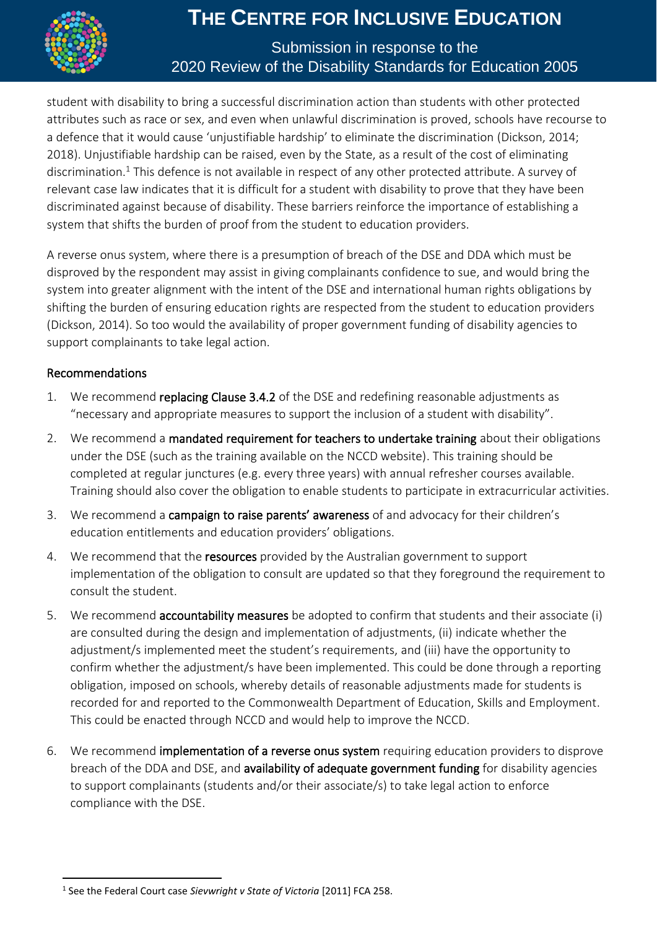

#### Submission in response to the 2020 Review of the Disability Standards for Education 2005

student with disability to bring a successful discrimination action than students with other protected attributes such as race or sex, and even when unlawful discrimination is proved, schools have recourse to a defence that it would cause 'unjustifiable hardship' to eliminate the discrimination (Dickson, 2014; 2018). Unjustifiable hardship can be raised, even by the State, as a result of the cost of eliminating discrimination.<sup>1</sup> This defence is not available in respect of any other protected attribute. A survey of relevant case law indicates that it is difficult for a student with disability to prove that they have been discriminated against because of disability. These barriers reinforce the importance of establishing a system that shifts the burden of proof from the student to education providers.

A reverse onus system, where there is a presumption of breach of the DSE and DDA which must be disproved by the respondent may assist in giving complainants confidence to sue, and would bring the system into greater alignment with the intent of the DSE and international human rights obligations by shifting the burden of ensuring education rights are respected from the student to education providers (Dickson, 2014). So too would the availability of proper government funding of disability agencies to support complainants to take legal action.

#### Recommendations

- 1. We recommend replacing Clause 3.4.2 of the DSE and redefining reasonable adjustments as "necessary and appropriate measures to support the inclusion of a student with disability".
- 2. We recommend a mandated requirement for teachers to undertake training about their obligations under the DSE (such as the training available on the NCCD website). This training should be completed at regular junctures (e.g. every three years) with annual refresher courses available. Training should also cover the obligation to enable students to participate in extracurricular activities.
- 3. We recommend a campaign to raise parents' awareness of and advocacy for their children's education entitlements and education providers' obligations.
- 4. We recommend that the resources provided by the Australian government to support implementation of the obligation to consult are updated so that they foreground the requirement to consult the student.
- 5. We recommend **accountability measures** be adopted to confirm that students and their associate (i) are consulted during the design and implementation of adjustments, (ii) indicate whether the adjustment/s implemented meet the student's requirements, and (iii) have the opportunity to confirm whether the adjustment/s have been implemented. This could be done through a reporting obligation, imposed on schools, whereby details of reasonable adjustments made for students is recorded for and reported to the Commonwealth Department of Education, Skills and Employment. This could be enacted through NCCD and would help to improve the NCCD.
- 6. We recommend implementation of a reverse onus system requiring education providers to disprove breach of the DDA and DSE, and availability of adequate government funding for disability agencies to support complainants (students and/or their associate/s) to take legal action to enforce compliance with the DSE.

<sup>1</sup> See the Federal Court case *Sievwright v State of Victoria* [2011] FCA 258.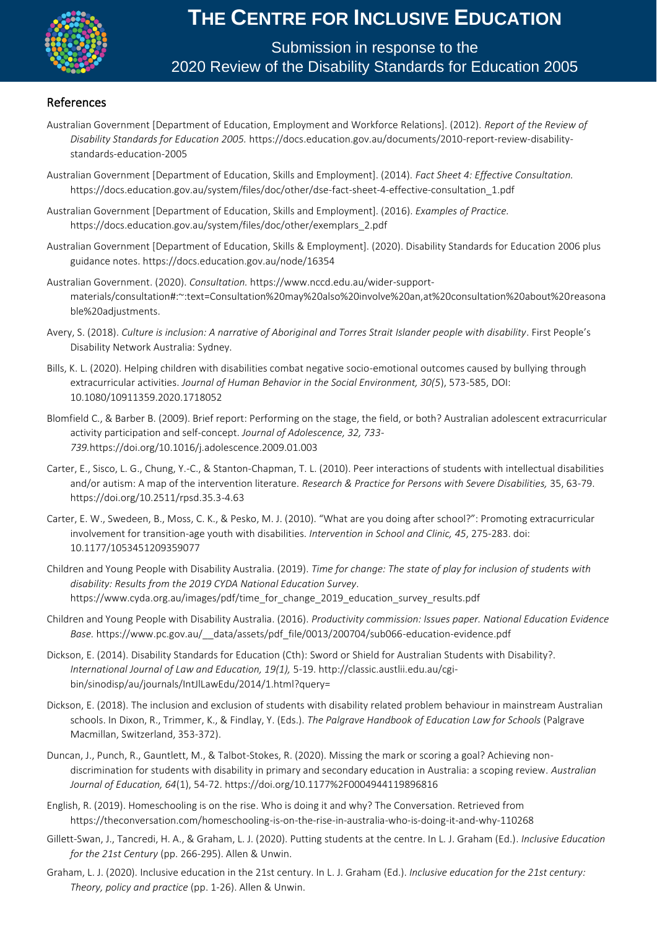

Submission in response to the 2020 Review of the Disability Standards for Education 2005

#### References

- Australian Government [Department of Education, Employment and Workforce Relations]. (2012). *Report of the Review of Disability Standards for Education 2005.* https://docs.education.gov.au/documents/2010-report-review-disabilitystandards-education-2005
- Australian Government [Department of Education, Skills and Employment]. (2014). *Fact Sheet 4: Effective Consultation.* https://docs.education.gov.au/system/files/doc/other/dse-fact-sheet-4-effective-consultation\_1.pdf
- Australian Government [Department of Education, Skills and Employment]. (2016). *Examples of Practice.* https://docs.education.gov.au/system/files/doc/other/exemplars\_2.pdf
- Australian Government [Department of Education, Skills & Employment]. (2020). Disability Standards for Education 2006 plus guidance notes. https://docs.education.gov.au/node/16354
- Australian Government. (2020). *Consultation.* https://www.nccd.edu.au/wider-supportmaterials/consultation#:~:text=Consultation%20may%20also%20involve%20an,at%20consultation%20about%20reasona ble%20adjustments.
- Avery, S. (2018). *Culture is inclusion: A narrative of Aboriginal and Torres Strait Islander people with disability*. First People's Disability Network Australia: Sydney.
- Bills, K. L. (2020). Helping children with disabilities combat negative socio-emotional outcomes caused by bullying through extracurricular activities. *Journal of Human Behavior in the Social Environment, 30(5*), 573-585, DOI: 10.1080/10911359.2020.1718052
- Blomfield C., & Barber B. (2009). Brief report: Performing on the stage, the field, or both? Australian adolescent extracurricular activity participation and self-concept. *Journal of Adolescence, 32, 733- 739.*https://doi.org/10.1016/j.adolescence.2009.01.003
- Carter, E., Sisco, L. G., Chung, Y.-C., & Stanton-Chapman, T. L. (2010). Peer interactions of students with intellectual disabilities and/or autism: A map of the intervention literature. *Research & Practice for Persons with Severe Disabilities,* 35, 63-79. https://doi.org/10.2511/rpsd.35.3-4.63
- Carter, E. W., Swedeen, B., Moss, C. K., & Pesko, M. J. (2010). "What are you doing after school?": Promoting extracurricular involvement for transition-age youth with disabilities. *Intervention in School and Clinic, 45*, 275-283. doi: 10.1177/1053451209359077
- Children and Young People with Disability Australia. (2019). *Time for change: The state of play for inclusion of students with disability: Results from the 2019 CYDA National Education Survey*. https://www.cyda.org.au/images/pdf/time\_for\_change\_2019\_education\_survey\_results.pdf
- Children and Young People with Disability Australia. (2016). *Productivity commission: Issues paper. National Education Evidence Base.* https://www.pc.gov.au/\_\_data/assets/pdf\_file/0013/200704/sub066-education-evidence.pdf
- Dickson, E. (2014). Disability Standards for Education (Cth): Sword or Shield for Australian Students with Disability?. *International Journal of Law and Education, 19(1),* 5-19. http://classic.austlii.edu.au/cgibin/sinodisp/au/journals/IntJlLawEdu/2014/1.html?query=
- Dickson, E. (2018). The inclusion and exclusion of students with disability related problem behaviour in mainstream Australian schools. In Dixon, R., Trimmer, K., & Findlay, Y. (Eds.). *The Palgrave Handbook of Education Law for Schools* (Palgrave Macmillan, Switzerland, 353-372).
- Duncan, J., Punch, R., Gauntlett, M., & Talbot-Stokes, R. (2020). Missing the mark or scoring a goal? Achieving nondiscrimination for students with disability in primary and secondary education in Australia: a scoping review. *Australian Journal of Education, 64*(1), 54-72. https://doi.org/10.1177%2F0004944119896816
- English, R. (2019). Homeschooling is on the rise. Who is doing it and why? The Conversation. Retrieved from https://theconversation.com/homeschooling-is-on-the-rise-in-australia-who-is-doing-it-and-why-110268
- Gillett-Swan, J., Tancredi, H. A., & Graham, L. J. (2020). Putting students at the centre. In L. J. Graham (Ed.). *Inclusive Education for the 21st Century* (pp. 266-295). Allen & Unwin.
- Graham, L. J. (2020). Inclusive education in the 21st century. In L. J. Graham (Ed.). *Inclusive education for the 21st century: Theory, policy and practice* (pp. 1-26). Allen & Unwin.